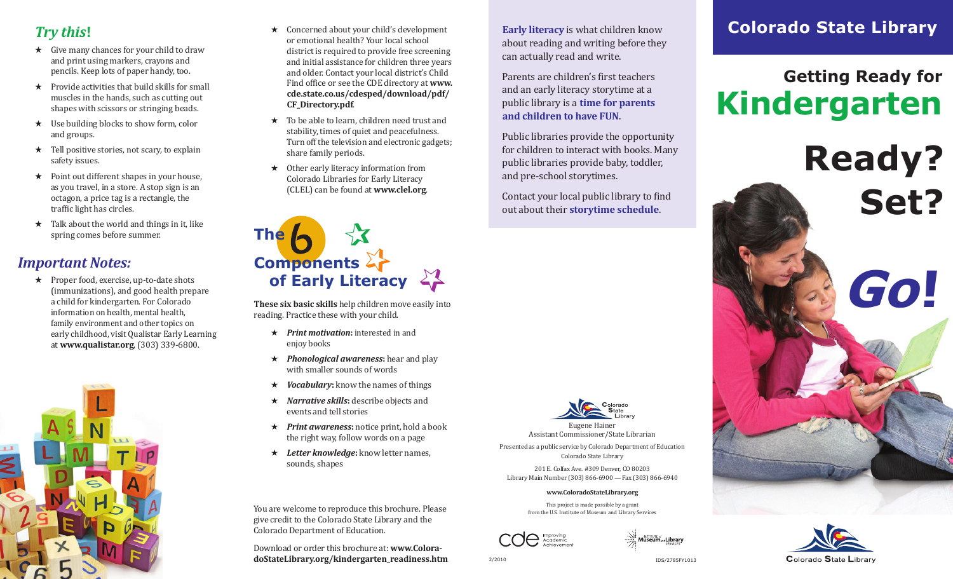### *Try this***!**

- ★ Give many chances for your child to draw and print using markers, crayons and pencils. Keep lots of paper handy, too.
- $\star$  Provide activities that build skills for small muscles in the hands, such as cutting out shapes with scissors or stringing beads.
- ★ Use building blocks to show form, color and groups.
- ★ Tell positive stories, not scary, to explain safety issues.
- $\star$  Point out different shapes in your house, as you travel, in a store. A stop sign is an octagon, a price tag is a rectangle, the traffic light has circles.
- $\star$  Talk about the world and things in it, like spring comes before summer.

#### *Important Notes:*

★ Proper food, exercise, up-to-date shots (immunizations), and good health prepare a child for kindergarten. For Colorado information on health, mental health, family environment and other topics on early childhood, visit Qualistar Early Learning at **www.qualistar.org**, (303) 339-6800.



- ★ Concerned about your child's development or emotional health? Your local school district is required to provide free screening and initial assistance for children three years and older. Contact your local district's Child Find office or see the CDE directory at **www. cde.state.co.us/cdesped/download/pdf/ CF\_Directory.pdf**.
- $\star$  To be able to learn, children need trust and stability, times of quiet and peacefulness. Turn off the television and electronic gadgets; share family periods.
- ★ Other early literacy information from Colorado Libraries for Early Literacy (CLEL) can be found at **www.clel.org**.

6**The Components of Early Literacy**

**These six basic skills** help children move easily into reading. Practice these with your child.

- ★ *Print motivation***:** interested in and enjoy books
- ★ *Phonological awareness***:** hear and play with smaller sounds of words
- ★*Vocabulary***:** know the names of things
- ★ *Narrative skills***:** describe objects and events and tell stories
- ★ *Print awareness***:** notice print, hold a book the right way, follow words on a page
- ★ *Letter knowledge***:** know letter names, sounds, shapes

You are welcome to reproduce this brochure. Please give credit to the Colorado State Library and the Colorado Department of Education.

Download or order this brochure at: **www.ColoradoStateLibrary.org/kindergarten\_readiness.htm** 2/2010 202010 202010 IDS/2785FY1013

**Early literacy** is what children know about reading and writing before they can actually read and write.

Parents are children's first teachers and an early literacy storytime at a public library is a **time for parents and children to have FUN**.

Public libraries provide the opportunity for children to interact with books. Many public libraries provide baby, toddler, and pre-school storytimes.

Contact your local public library to find out about their **storytime schedule**.



Eugene Hainer Assistant Commissioner/State Librarian

Presented as a public service by Colorado Department of Education Colorado State Library

201 E. Colfax Ave. #309 Denver, CO 80203 Library Main Number (303) 866-6900 — Fax (303) 866-6940

#### **www.ColoradoStateLibrary.org**

This project is made possible by a grant from the U.S. Institute of Museum and Library Services





## **Colorado State Library**

## **Getting Ready for Kindergarten**